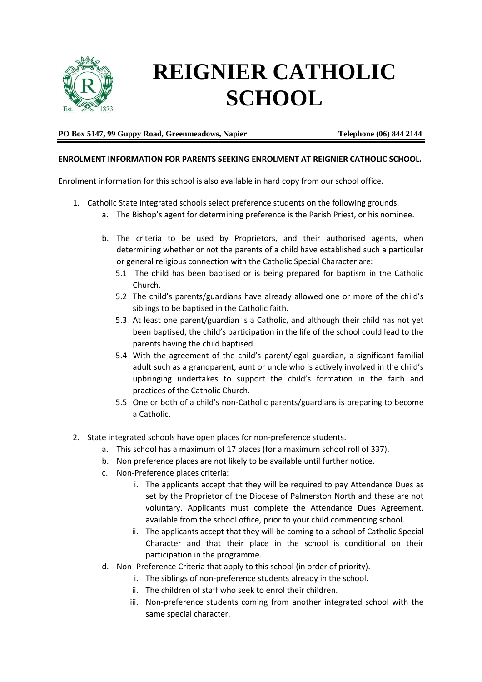

## **REIGNIER CATHOLIC SCHOOL**

## **PO Box 5147, 99 Guppy Road, Greenmeadows, Napier Telephone (06) 844 2144**

## **ENROLMENT INFORMATION FOR PARENTS SEEKING ENROLMENT AT REIGNIER CATHOLIC SCHOOL.**

Enrolment information for this school is also available in hard copy from our school office.

- 1. Catholic State Integrated schools select preference students on the following grounds.
	- a. The Bishop's agent for determining preference is the Parish Priest, or his nominee.
	- b. The criteria to be used by Proprietors, and their authorised agents, when determining whether or not the parents of a child have established such a particular or general religious connection with the Catholic Special Character are:
		- 5.1 The child has been baptised or is being prepared for baptism in the Catholic Church.
		- 5.2 The child's parents/guardians have already allowed one or more of the child's siblings to be baptised in the Catholic faith.
		- 5.3 At least one parent/guardian is a Catholic, and although their child has not yet been baptised, the child's participation in the life of the school could lead to the parents having the child baptised.
		- 5.4 With the agreement of the child's parent/legal guardian, a significant familial adult such as a grandparent, aunt or uncle who is actively involved in the child's upbringing undertakes to support the child's formation in the faith and practices of the Catholic Church.
		- 5.5 One or both of a child's non-Catholic parents/guardians is preparing to become a Catholic.
- 2. State integrated schools have open places for non-preference students.
	- a. This school has a maximum of 17 places (for a maximum school roll of 337).
	- b. Non preference places are not likely to be available until further notice.
	- c. Non-Preference places criteria:
		- i. The applicants accept that they will be required to pay Attendance Dues as set by the Proprietor of the Diocese of Palmerston North and these are not voluntary. Applicants must complete the Attendance Dues Agreement, available from the school office, prior to your child commencing school.
		- ii. The applicants accept that they will be coming to a school of Catholic Special Character and that their place in the school is conditional on their participation in the programme.
	- d. Non- Preference Criteria that apply to this school (in order of priority).
		- i. The siblings of non-preference students already in the school.
			- ii. The children of staff who seek to enrol their children.
		- iii. Non-preference students coming from another integrated school with the same special character.